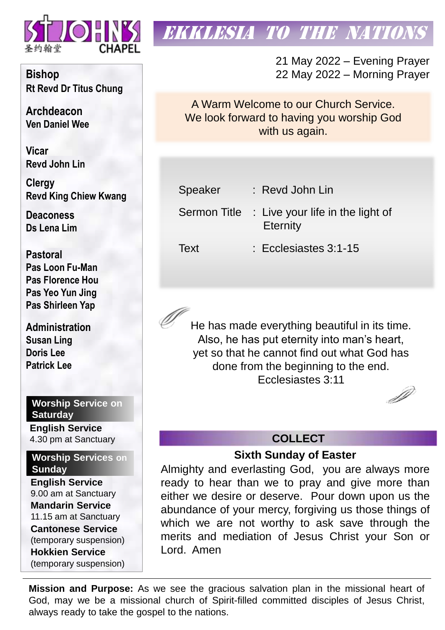

# **EKKLESIA TO THE NATION**

21 May 2022 – Evening Prayer 22 May 2022 – Morning Prayer

A Warm Welcome to our Church Service. We look forward to having you worship God with us again.

| Speaker      | : Revd John Lin                                                |
|--------------|----------------------------------------------------------------|
| Sermon Title | $\therefore$ Live your life in the light of<br><b>Eternity</b> |
| Text         | : Ecclesiastes 3:1-15                                          |

He has made everything beautiful in its time. Also, he has put eternity into man's heart, yet so that he cannot find out what God has done from the beginning to the end. Ecclesiastes 3:11

## **COLLECT**

**Sixth Sunday of Easter**

Almighty and everlasting God, you are always more ready to hear than we to pray and give more than either we desire or deserve. Pour down upon us the abundance of your mercy, forgiving us those things of which we are not worthy to ask save through the merits and mediation of Jesus Christ your Son or Lord. Amen

**Mission and Purpose:** As we see the gracious salvation plan in the missional heart of God, may we be a missional church of Spirit-filled committed disciples of Jesus Christ, always ready to take the gospel to the nations.

**Bishop Rt Revd Dr Titus Chung**

**Archdeacon Ven Daniel Wee**

**Vicar Revd John Lin** 

**Clergy Revd King Chiew Kwang**

**Deaconess Ds Lena Lim**

**Pastoral Pas Loon Fu-Man Pas Florence Hou Pas Yeo Yun Jing Pas Shirleen Yap**

**Administration Susan Ling Doris Lee Patrick Lee**

**Worship Service on Saturday**

**English Service**  4.30 pm at Sanctuary

**Worship Services on Sunday**

**English Service** 9.00 am at Sanctuary **Mandarin Service** 11.15 am at Sanctuary **Cantonese Service** (temporary suspension) **Hokkien Service** (temporary suspension)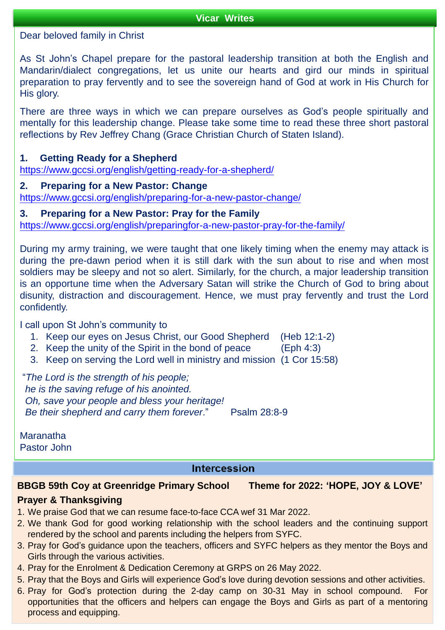#### **Vicar Writes**

Dear beloved family in Christ

As St John's Chapel prepare for the pastoral leadership transition at both the English and Mandarin/dialect congregations, let us unite our hearts and gird our minds in spiritual preparation to pray fervently and to see the sovereign hand of God at work in His Church for His glory.

There are three ways in which we can prepare ourselves as God's people spiritually and mentally for this leadership change. Please take some time to read these three short pastoral reflections by Rev Jeffrey Chang (Grace Christian Church of Staten Island).

### **1. Getting Ready for a Shepherd**

<https://www.gccsi.org/english/getting-ready-for-a-shepherd/>

## **2. Preparing for a New Pastor: Change**

<https://www.gccsi.org/english/preparing-for-a-new-pastor-change/>

## **3. Preparing for a New Pastor: Pray for the Family**

<https://www.gccsi.org/english/preparingfor-a-new-pastor-pray-for-the-family/>

During my army training, we were taught that one likely timing when the enemy may attack is during the pre-dawn period when it is still dark with the sun about to rise and when most soldiers may be sleepy and not so alert. Similarly, for the church, a major leadership transition is an opportune time when the Adversary Satan will strike the Church of God to bring about disunity, distraction and discouragement. Hence, we must pray fervently and trust the Lord confidently.

I call upon St John's community to

- 1. Keep our eyes on Jesus Christ, our Good Shepherd (Heb 12:1-2)
- 2. Keep the unity of the Spirit in the bond of peace (Eph 4:3)
- 3. Keep on serving the Lord well in ministry and mission (1 Cor 15:58)

"*The Lord is the strength of his people; he is the saving refuge of his anointed. Oh, save your people and bless your heritage! Be their shepherd and carry them forever*." Psalm 28:8-9

**Maranatha** Pastor John

## **Intercession**

## **BBGB 59th Coy at Greenridge Primary School Theme for 2022: 'HOPE, JOY & LOVE'**

## **Prayer & Thanksgiving**

- 1. We praise God that we can resume face-to-face CCA wef 31 Mar 2022.
- 2. We thank God for good working relationship with the school leaders and the continuing support rendered by the school and parents including the helpers from SYFC.
- 3. Pray for God's guidance upon the teachers, officers and SYFC helpers as they mentor the Boys and Girls through the various activities.
- 4. Pray for the Enrolment & Dedication Ceremony at GRPS on 26 May 2022.
- 5. Pray that the Boys and Girls will experience God's love during devotion sessions and other activities.
- 6. Pray for God's protection during the 2-day camp on 30-31 May in school compound. For opportunities that the officers and helpers can engage the Boys and Girls as part of a mentoring process and equipping.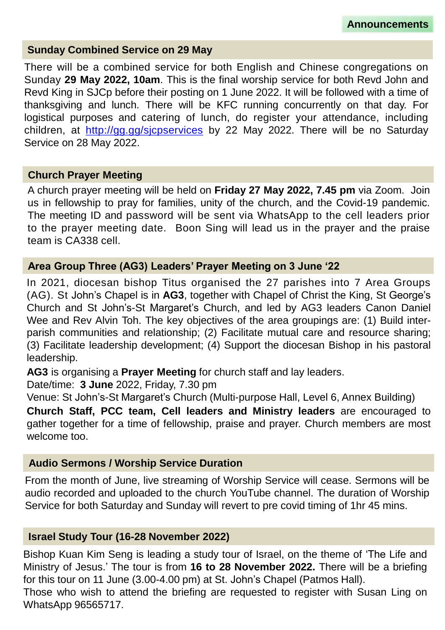## **Sunday Combined Service on 29 May**

There will be a combined service for both English and Chinese congregations on Sunday **29 May 2022, 10am**. This is the final worship service for both Revd John and Revd King in SJCp before their posting on 1 June 2022. It will be followed with a time of thanksgiving and lunch. There will be KFC running concurrently on that day. For logistical purposes and catering of lunch, do register your attendance, including children, at <http://gg.gg/sjcpservices> by 22 May 2022. There will be no Saturday Service on 28 May 2022.

## **Church Prayer Meeting**

A church prayer meeting will be held on **Friday 27 May 2022, 7.45 pm** via Zoom. Join us in fellowship to pray for families, unity of the church, and the Covid-19 pandemic. The meeting ID and password will be sent via WhatsApp to the cell leaders prior to the prayer meeting date. Boon Sing will lead us in the prayer and the praise team is CA338 cell.

## **Area Group Three (AG3) Leaders' Prayer Meeting on 3 June '22**

In 2021, diocesan bishop Titus organised the 27 parishes into 7 Area Groups (AG). St John's Chapel is in **AG3**, together with Chapel of Christ the King, St George's Church and St John's-St Margaret's Church, and led by AG3 leaders Canon Daniel Wee and Rev Alvin Toh. The key objectives of the area groupings are: (1) Build interparish communities and relationship; (2) Facilitate mutual care and resource sharing; (3) Facilitate leadership development; (4) Support the diocesan Bishop in his pastoral leadership.

**AG3** is organising a **Prayer Meeting** for church staff and lay leaders.

Date/time: **3 June** 2022, Friday, 7.30 pm

Venue: St John's-St Margaret's Church (Multi-purpose Hall, Level 6, Annex Building)

**Church Staff, PCC team, Cell leaders and Ministry leaders** are encouraged to gather together for a time of fellowship, praise and prayer. Church members are most welcome too.

## **Audio Sermons / Worship Service Duration**

From the month of June, live streaming of Worship Service will cease. Sermons will be audio recorded and uploaded to the church YouTube channel. The duration of Worship Service for both Saturday and Sunday will revert to pre covid timing of 1hr 45 mins.

## **Israel Study Tour (16-28 November 2022)**

Bishop Kuan Kim Seng is leading a study tour of Israel, on the theme of 'The Life and Ministry of Jesus.' The tour is from **16 to 28 November 2022.** There will be a briefing for this tour on 11 June (3.00-4.00 pm) at St. John's Chapel (Patmos Hall). Those who wish to attend the briefing are requested to register with Susan Ling on WhatsApp 96565717.